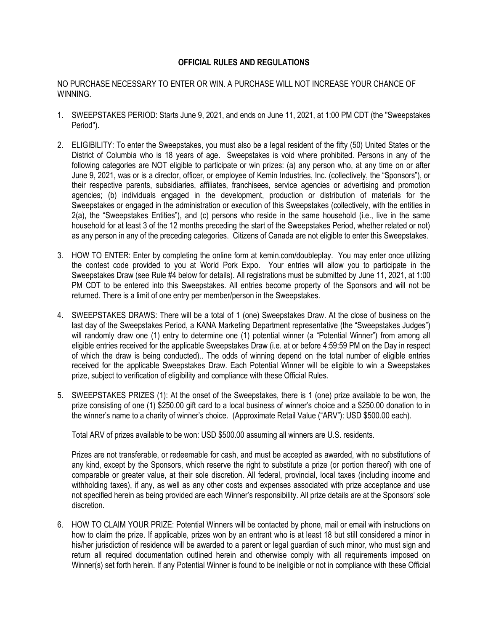## **OFFICIAL RULES AND REGULATIONS**

## NO PURCHASE NECESSARY TO ENTER OR WIN. A PURCHASE WILL NOT INCREASE YOUR CHANCE OF WINNING.

- 1. SWEEPSTAKES PERIOD: Starts June 9, 2021, and ends on June 11, 2021, at 1:00 PM CDT (the "Sweepstakes Period").
- 2. ELIGIBILITY: To enter the Sweepstakes, you must also be a legal resident of the fifty (50) United States or the District of Columbia who is 18 years of age. Sweepstakes is void where prohibited. Persons in any of the following categories are NOT eligible to participate or win prizes: (a) any person who, at any time on or after June 9, 2021, was or is a director, officer, or employee of Kemin Industries, Inc. (collectively, the "Sponsors"), or their respective parents, subsidiaries, affiliates, franchisees, service agencies or advertising and promotion agencies; (b) individuals engaged in the development, production or distribution of materials for the Sweepstakes or engaged in the administration or execution of this Sweepstakes (collectively, with the entities in 2(a), the "Sweepstakes Entities"), and (c) persons who reside in the same household (i.e., live in the same household for at least 3 of the 12 months preceding the start of the Sweepstakes Period, whether related or not) as any person in any of the preceding categories. Citizens of Canada are not eligible to enter this Sweepstakes.
- 3. HOW TO ENTER: Enter by completing the online form at kemin.com/doubleplay. You may enter once utilizing the contest code provided to you at World Pork Expo. Your entries will allow you to participate in the Sweepstakes Draw (see Rule #4 below for details). All registrations must be submitted by June 11, 2021, at 1:00 PM CDT to be entered into this Sweepstakes. All entries become property of the Sponsors and will not be returned. There is a limit of one entry per member/person in the Sweepstakes.
- 4. SWEEPSTAKES DRAWS: There will be a total of 1 (one) Sweepstakes Draw. At the close of business on the last day of the Sweepstakes Period, a KANA Marketing Department representative (the "Sweepstakes Judges") will randomly draw one (1) entry to determine one (1) potential winner (a "Potential Winner") from among all eligible entries received for the applicable Sweepstakes Draw (i.e. at or before 4:59:59 PM on the Day in respect of which the draw is being conducted).. The odds of winning depend on the total number of eligible entries received for the applicable Sweepstakes Draw. Each Potential Winner will be eligible to win a Sweepstakes prize, subject to verification of eligibility and compliance with these Official Rules.
- 5. SWEEPSTAKES PRIZES (1): At the onset of the Sweepstakes, there is 1 (one) prize available to be won, the prize consisting of one (1) \$250.00 gift card to a local business of winner's choice and a \$250.00 donation to in the winner's name to a charity of winner's choice. (Approximate Retail Value ("ARV"): USD \$500.00 each).

Total ARV of prizes available to be won: USD \$500.00 assuming all winners are U.S. residents.

Prizes are not transferable, or redeemable for cash, and must be accepted as awarded, with no substitutions of any kind, except by the Sponsors, which reserve the right to substitute a prize (or portion thereof) with one of comparable or greater value, at their sole discretion. All federal, provincial, local taxes (including income and withholding taxes), if any, as well as any other costs and expenses associated with prize acceptance and use not specified herein as being provided are each Winner's responsibility. All prize details are at the Sponsors' sole discretion.

6. HOW TO CLAIM YOUR PRIZE: Potential Winners will be contacted by phone, mail or email with instructions on how to claim the prize. If applicable, prizes won by an entrant who is at least 18 but still considered a minor in his/her jurisdiction of residence will be awarded to a parent or legal guardian of such minor, who must sign and return all required documentation outlined herein and otherwise comply with all requirements imposed on Winner(s) set forth herein. If any Potential Winner is found to be ineligible or not in compliance with these Official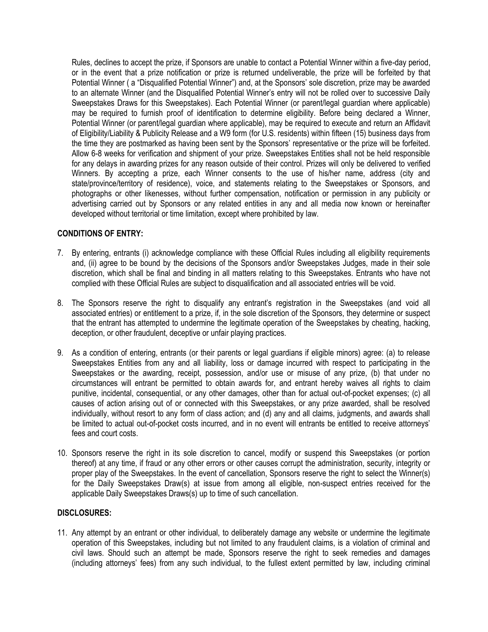Rules, declines to accept the prize, if Sponsors are unable to contact a Potential Winner within a five-day period, or in the event that a prize notification or prize is returned undeliverable, the prize will be forfeited by that Potential Winner ( a "Disqualified Potential Winner") and, at the Sponsors' sole discretion, prize may be awarded to an alternate Winner (and the Disqualified Potential Winner's entry will not be rolled over to successive Daily Sweepstakes Draws for this Sweepstakes). Each Potential Winner (or parent/legal guardian where applicable) may be required to furnish proof of identification to determine eligibility. Before being declared a Winner, Potential Winner (or parent/legal guardian where applicable), may be required to execute and return an Affidavit of Eligibility/Liability & Publicity Release and a W9 form (for U.S. residents) within fifteen (15) business days from the time they are postmarked as having been sent by the Sponsors' representative or the prize will be forfeited. Allow 6-8 weeks for verification and shipment of your prize. Sweepstakes Entities shall not be held responsible for any delays in awarding prizes for any reason outside of their control. Prizes will only be delivered to verified Winners. By accepting a prize, each Winner consents to the use of his/her name, address (city and state/province/territory of residence), voice, and statements relating to the Sweepstakes or Sponsors, and photographs or other likenesses, without further compensation, notification or permission in any publicity or advertising carried out by Sponsors or any related entities in any and all media now known or hereinafter developed without territorial or time limitation, except where prohibited by law.

## **CONDITIONS OF ENTRY:**

- 7. By entering, entrants (i) acknowledge compliance with these Official Rules including all eligibility requirements and, (ii) agree to be bound by the decisions of the Sponsors and/or Sweepstakes Judges, made in their sole discretion, which shall be final and binding in all matters relating to this Sweepstakes. Entrants who have not complied with these Official Rules are subject to disqualification and all associated entries will be void.
- 8. The Sponsors reserve the right to disqualify any entrant's registration in the Sweepstakes (and void all associated entries) or entitlement to a prize, if, in the sole discretion of the Sponsors, they determine or suspect that the entrant has attempted to undermine the legitimate operation of the Sweepstakes by cheating, hacking, deception, or other fraudulent, deceptive or unfair playing practices.
- 9. As a condition of entering, entrants (or their parents or legal guardians if eligible minors) agree: (a) to release Sweepstakes Entities from any and all liability, loss or damage incurred with respect to participating in the Sweepstakes or the awarding, receipt, possession, and/or use or misuse of any prize, (b) that under no circumstances will entrant be permitted to obtain awards for, and entrant hereby waives all rights to claim punitive, incidental, consequential, or any other damages, other than for actual out-of-pocket expenses; (c) all causes of action arising out of or connected with this Sweepstakes, or any prize awarded, shall be resolved individually, without resort to any form of class action; and (d) any and all claims, judgments, and awards shall be limited to actual out-of-pocket costs incurred, and in no event will entrants be entitled to receive attorneys' fees and court costs.
- 10. Sponsors reserve the right in its sole discretion to cancel, modify or suspend this Sweepstakes (or portion thereof) at any time, if fraud or any other errors or other causes corrupt the administration, security, integrity or proper play of the Sweepstakes. In the event of cancellation, Sponsors reserve the right to select the Winner(s) for the Daily Sweepstakes Draw(s) at issue from among all eligible, non-suspect entries received for the applicable Daily Sweepstakes Draws(s) up to time of such cancellation.

## **DISCLOSURES:**

11. Any attempt by an entrant or other individual, to deliberately damage any website or undermine the legitimate operation of this Sweepstakes, including but not limited to any fraudulent claims, is a violation of criminal and civil laws. Should such an attempt be made, Sponsors reserve the right to seek remedies and damages (including attorneys' fees) from any such individual, to the fullest extent permitted by law, including criminal